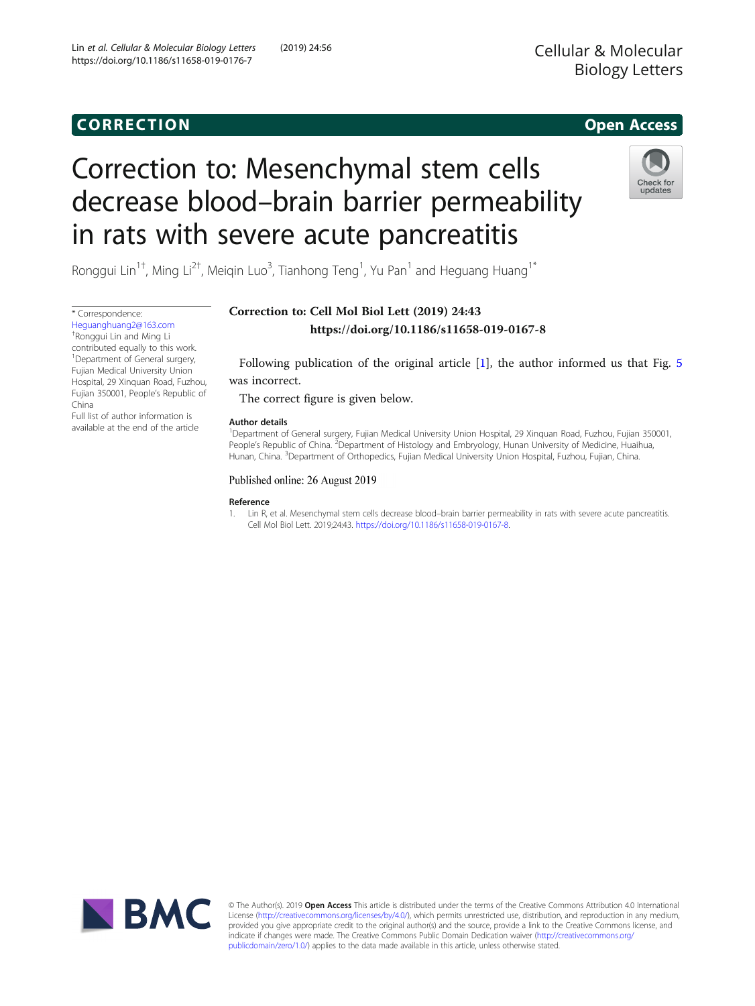## CORR EC TION Open [Access](http://crossmark.crossref.org/dialog/?doi=10.1186/s11658-019-0176-7&domain=pdf)

### Cellular & Molecular **Biology Letters** Biology Letters

# Correction to: Mesenchymal stem cells decrease blood–brain barrier permeability in rats with severe acute pancreatitis



Ronggui Lin<sup>1†</sup>, Ming Li<sup>2†</sup>, Meiqin Luo<sup>3</sup>, Tianhong Teng<sup>1</sup>, Yu Pan<sup>1</sup> and Heguang Huang<sup>1\*</sup>

Correction to: Cell Mol Biol Lett (2019) 24:43 https://doi.org/10.1186/s11658-019-0167-8

Following publication of the original article [1], the author informed us that Fig. [5](#page-1-0) was incorrect.

The correct figure is given below.

#### Author details

<sup>1</sup>Department of General surgery, Fujian Medical University Union Hospital, 29 Xinquan Road, Fuzhou, Fujian 350001, People's Republic of China. <sup>2</sup>Department of Histology and Embryology, Hunan University of Medicine, Huaihua, Hunan, China. <sup>3</sup>Department of Orthopedics, Fujian Medical University Union Hospital, Fuzhou, Fujian, China

### Published online: 26 August 2019

Reference

1. Lin R, et al. Mesenchymal stem cells decrease blood–brain barrier permeability in rats with severe acute pancreatitis. Cell Mol Biol Lett. 2019;24:43. <https://doi.org/10.1186/s11658-019-0167-8>.



© The Author(s). 2019 Open Access This article is distributed under the terms of the Creative Commons Attribution 4.0 International License ([http://creativecommons.org/licenses/by/4.0/\)](http://creativecommons.org/licenses/by/4.0/), which permits unrestricted use, distribution, and reproduction in any medium, provided you give appropriate credit to the original author(s) and the source, provide a link to the Creative Commons license, and indicate if changes were made. The Creative Commons Public Domain Dedication waiver ([http://creativecommons.org/](http://creativecommons.org/publicdomain/zero/1.0/) [publicdomain/zero/1.0/\)](http://creativecommons.org/publicdomain/zero/1.0/) applies to the data made available in this article, unless otherwise stated.

[Heguanghuang2@163.com](mailto:Heguanghuang2@163.com) † Ronggui Lin and Ming Li contributed equally to this work. <sup>1</sup> Department of General surgery, Fujian Medical University Union Hospital, 29 Xinquan Road, Fuzhou, Fujian 350001, People's Republic of China

\* Correspondence:

Full list of author information is available at the end of the article